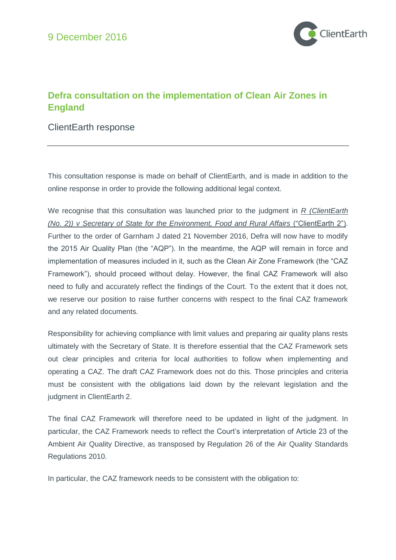

# **Defra consultation on the implementation of Clean Air Zones in England**

#### ClientEarth response

This consultation response is made on behalf of ClientEarth, and is made in addition to the online response in order to provide the following additional legal context.

We recognise that this consultation was launched prior to the judgment in *R (ClientEarth (No. 2)) v Secretary of State for the Environment, Food and Rural Affairs* ("ClientEarth 2"). Further to the order of Garnham J dated 21 November 2016, Defra will now have to modify the 2015 Air Quality Plan (the "AQP"). In the meantime, the AQP will remain in force and implementation of measures included in it, such as the Clean Air Zone Framework (the "CAZ Framework"), should proceed without delay. However, the final CAZ Framework will also need to fully and accurately reflect the findings of the Court. To the extent that it does not, we reserve our position to raise further concerns with respect to the final CAZ framework and any related documents.

Responsibility for achieving compliance with limit values and preparing air quality plans rests ultimately with the Secretary of State. It is therefore essential that the CAZ Framework sets out clear principles and criteria for local authorities to follow when implementing and operating a CAZ. The draft CAZ Framework does not do this. Those principles and criteria must be consistent with the obligations laid down by the relevant legislation and the judgment in ClientEarth 2.

The final CAZ Framework will therefore need to be updated in light of the judgment. In particular, the CAZ Framework needs to reflect the Court's interpretation of Article 23 of the Ambient Air Quality Directive, as transposed by Regulation 26 of the Air Quality Standards Regulations 2010.

In particular, the CAZ framework needs to be consistent with the obligation to: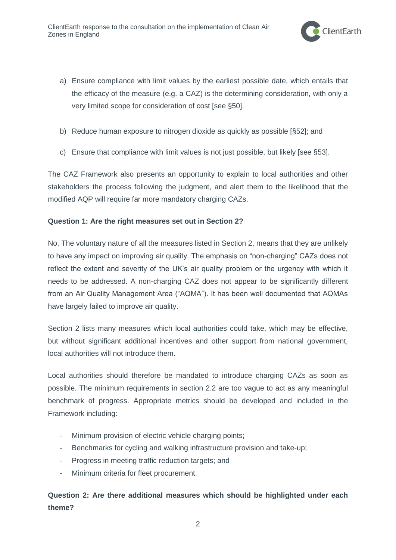

- a) Ensure compliance with limit values by the earliest possible date, which entails that the efficacy of the measure (e.g. a CAZ) is the determining consideration, with only a very limited scope for consideration of cost [see §50].
- b) Reduce human exposure to nitrogen dioxide as quickly as possible [§52]; and
- c) Ensure that compliance with limit values is not just possible, but likely [see §53].

The CAZ Framework also presents an opportunity to explain to local authorities and other stakeholders the process following the judgment, and alert them to the likelihood that the modified AQP will require far more mandatory charging CAZs.

#### **Question 1: Are the right measures set out in Section 2?**

No. The voluntary nature of all the measures listed in Section 2, means that they are unlikely to have any impact on improving air quality. The emphasis on "non-charging" CAZs does not reflect the extent and severity of the UK's air quality problem or the urgency with which it needs to be addressed. A non-charging CAZ does not appear to be significantly different from an Air Quality Management Area ("AQMA"). It has been well documented that AQMAs have largely failed to improve air quality.

Section 2 lists many measures which local authorities could take, which may be effective, but without significant additional incentives and other support from national government, local authorities will not introduce them.

Local authorities should therefore be mandated to introduce charging CAZs as soon as possible. The minimum requirements in section 2.2 are too vague to act as any meaningful benchmark of progress. Appropriate metrics should be developed and included in the Framework including:

- Minimum provision of electric vehicle charging points;
- Benchmarks for cycling and walking infrastructure provision and take-up;
- Progress in meeting traffic reduction targets; and
- Minimum criteria for fleet procurement.

## **Question 2: Are there additional measures which should be highlighted under each theme?**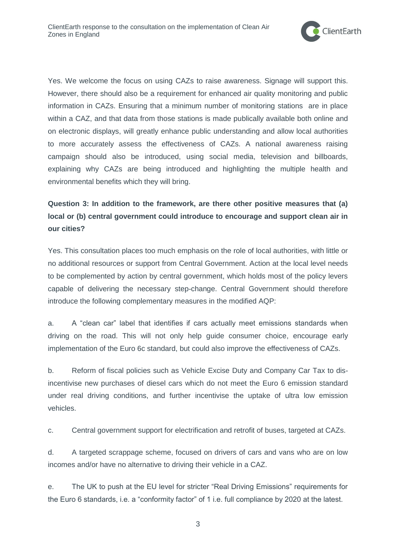

Yes. We welcome the focus on using CAZs to raise awareness. Signage will support this. However, there should also be a requirement for enhanced air quality monitoring and public information in CAZs. Ensuring that a minimum number of monitoring stations are in place within a CAZ, and that data from those stations is made publically available both online and on electronic displays, will greatly enhance public understanding and allow local authorities to more accurately assess the effectiveness of CAZs. A national awareness raising campaign should also be introduced, using social media, television and billboards, explaining why CAZs are being introduced and highlighting the multiple health and environmental benefits which they will bring.

# **Question 3: In addition to the framework, are there other positive measures that (a) local or (b) central government could introduce to encourage and support clean air in our cities?**

Yes. This consultation places too much emphasis on the role of local authorities, with little or no additional resources or support from Central Government. Action at the local level needs to be complemented by action by central government, which holds most of the policy levers capable of delivering the necessary step-change. Central Government should therefore introduce the following complementary measures in the modified AQP:

a. A "clean car" label that identifies if cars actually meet emissions standards when driving on the road. This will not only help guide consumer choice, encourage early implementation of the Euro 6c standard, but could also improve the effectiveness of CAZs.

b. Reform of fiscal policies such as Vehicle Excise Duty and Company Car Tax to disincentivise new purchases of diesel cars which do not meet the Euro 6 emission standard under real driving conditions, and further incentivise the uptake of ultra low emission vehicles.

c. Central government support for electrification and retrofit of buses, targeted at CAZs.

d. A targeted scrappage scheme, focused on drivers of cars and vans who are on low incomes and/or have no alternative to driving their vehicle in a CAZ.

e. The UK to push at the EU level for stricter "Real Driving Emissions" requirements for the Euro 6 standards, i.e. a "conformity factor" of 1 i.e. full compliance by 2020 at the latest.

3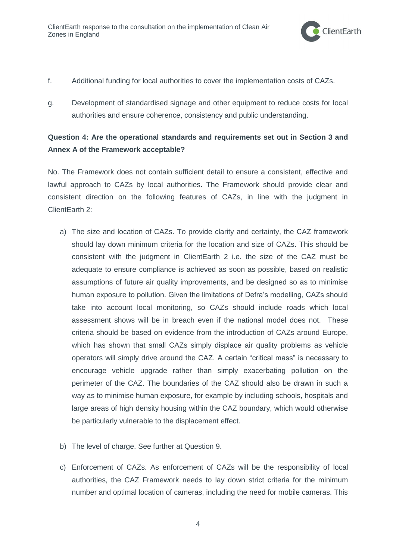

- f. Additional funding for local authorities to cover the implementation costs of CAZs.
- g. Development of standardised signage and other equipment to reduce costs for local authorities and ensure coherence, consistency and public understanding.

### **Question 4: Are the operational standards and requirements set out in Section 3 and Annex A of the Framework acceptable?**

No. The Framework does not contain sufficient detail to ensure a consistent, effective and lawful approach to CAZs by local authorities. The Framework should provide clear and consistent direction on the following features of CAZs, in line with the judgment in ClientEarth 2:

- a) The size and location of CAZs. To provide clarity and certainty, the CAZ framework should lay down minimum criteria for the location and size of CAZs. This should be consistent with the judgment in ClientEarth 2 i.e. the size of the CAZ must be adequate to ensure compliance is achieved as soon as possible, based on realistic assumptions of future air quality improvements, and be designed so as to minimise human exposure to pollution. Given the limitations of Defra's modelling, CAZs should take into account local monitoring, so CAZs should include roads which local assessment shows will be in breach even if the national model does not. These criteria should be based on evidence from the introduction of CAZs around Europe, which has shown that small CAZs simply displace air quality problems as vehicle operators will simply drive around the CAZ. A certain "critical mass" is necessary to encourage vehicle upgrade rather than simply exacerbating pollution on the perimeter of the CAZ. The boundaries of the CAZ should also be drawn in such a way as to minimise human exposure, for example by including schools, hospitals and large areas of high density housing within the CAZ boundary, which would otherwise be particularly vulnerable to the displacement effect.
- b) The level of charge. See further at Question 9.
- c) Enforcement of CAZs. As enforcement of CAZs will be the responsibility of local authorities, the CAZ Framework needs to lay down strict criteria for the minimum number and optimal location of cameras, including the need for mobile cameras. This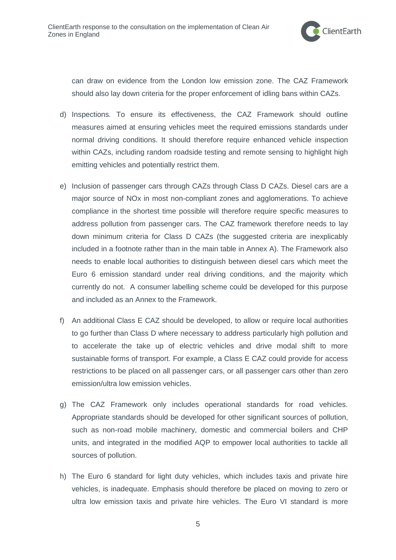

can draw on evidence from the London low emission zone. The CAZ Framework should also lay down criteria for the proper enforcement of idling bans within CAZs.

- d) Inspections. To ensure its effectiveness, the CAZ Framework should outline measures aimed at ensuring vehicles meet the required emissions standards under normal driving conditions. It should therefore require enhanced vehicle inspection within CAZs, including random roadside testing and remote sensing to highlight high emitting vehicles and potentially restrict them.
- e) Inclusion of passenger cars through CAZs through Class D CAZs. Diesel cars are a major source of NOx in most non-compliant zones and agglomerations. To achieve compliance in the shortest time possible will therefore require specific measures to address pollution from passenger cars. The CAZ framework therefore needs to lay down minimum criteria for Class D CAZs (the suggested criteria are inexplicably included in a footnote rather than in the main table in Annex A). The Framework also needs to enable local authorities to distinguish between diesel cars which meet the Euro 6 emission standard under real driving conditions, and the majority which currently do not. A consumer labelling scheme could be developed for this purpose and included as an Annex to the Framework.
- f) An additional Class E CAZ should be developed, to allow or require local authorities to go further than Class D where necessary to address particularly high pollution and to accelerate the take up of electric vehicles and drive modal shift to more sustainable forms of transport. For example, a Class E CAZ could provide for access restrictions to be placed on all passenger cars, or all passenger cars other than zero emission/ultra low emission vehicles.
- g) The CAZ Framework only includes operational standards for road vehicles. Appropriate standards should be developed for other significant sources of pollution, such as non-road mobile machinery, domestic and commercial boilers and CHP units, and integrated in the modified AQP to empower local authorities to tackle all sources of pollution.
- h) The Euro 6 standard for light duty vehicles, which includes taxis and private hire vehicles, is inadequate. Emphasis should therefore be placed on moving to zero or ultra low emission taxis and private hire vehicles. The Euro VI standard is more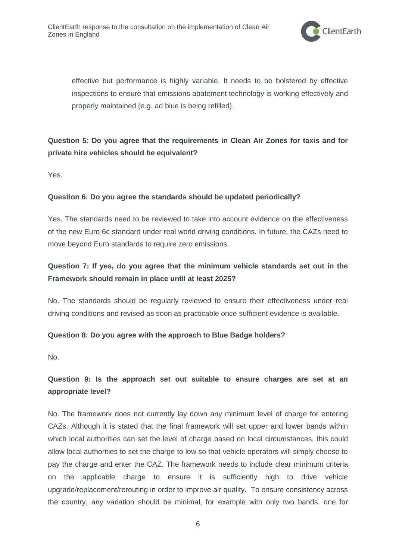

effective but performance is highly variable. It needs to be bolstered by effective inspections to ensure that emissions abatement technology is working effectively and properly maintained (e.g. ad blue is being refilled).

## **Question 5: Do you agree that the requirements in Clean Air Zones for taxis and for private hire vehicles should be equivalent?**

Yes.

#### **Question 6: Do you agree the standards should be updated periodically?**

Yes. The standards need to be reviewed to take into account evidence on the effectiveness of the new Euro 6c standard under real world driving conditions. In future, the CAZs need to move beyond Euro standards to require zero emissions.

### **Question 7: If yes, do you agree that the minimum vehicle standards set out in the Framework should remain in place until at least 2025?**

No. The standards should be regularly reviewed to ensure their effectiveness under real driving conditions and revised as soon as practicable once sufficient evidence is available.

#### **Question 8: Do you agree with the approach to Blue Badge holders?**

No.

## **Question 9: Is the approach set out suitable to ensure charges are set at an appropriate level?**

No. The framework does not currently lay down any minimum level of charge for entering CAZs. Although it is stated that the final framework will set upper and lower bands within which local authorities can set the level of charge based on local circumstances, this could allow local authorities to set the charge to low so that vehicle operators will simply choose to pay the charge and enter the CAZ. The framework needs to include clear minimum criteria on the applicable charge to ensure it is sufficiently high to drive vehicle upgrade/replacement/rerouting in order to improve air quality. To ensure consistency across the country, any variation should be minimal, for example with only two bands, one for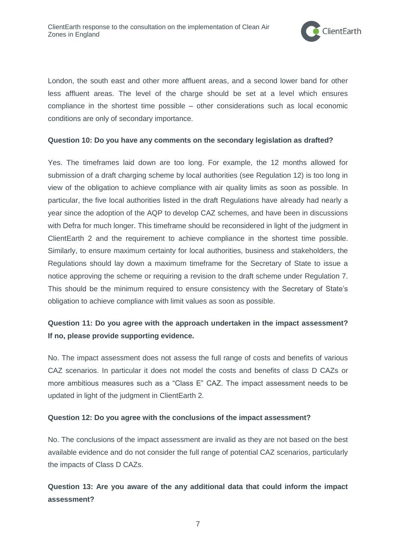

London, the south east and other more affluent areas, and a second lower band for other less affluent areas. The level of the charge should be set at a level which ensures compliance in the shortest time possible – other considerations such as local economic conditions are only of secondary importance.

#### **Question 10: Do you have any comments on the secondary legislation as drafted?**

Yes. The timeframes laid down are too long. For example, the 12 months allowed for submission of a draft charging scheme by local authorities (see Regulation 12) is too long in view of the obligation to achieve compliance with air quality limits as soon as possible. In particular, the five local authorities listed in the draft Regulations have already had nearly a year since the adoption of the AQP to develop CAZ schemes, and have been in discussions with Defra for much longer. This timeframe should be reconsidered in light of the judgment in ClientEarth 2 and the requirement to achieve compliance in the shortest time possible. Similarly, to ensure maximum certainty for local authorities, business and stakeholders, the Regulations should lay down a maximum timeframe for the Secretary of State to issue a notice approving the scheme or requiring a revision to the draft scheme under Regulation 7. This should be the minimum required to ensure consistency with the Secretary of State's obligation to achieve compliance with limit values as soon as possible.

## **Question 11: Do you agree with the approach undertaken in the impact assessment? If no, please provide supporting evidence.**

No. The impact assessment does not assess the full range of costs and benefits of various CAZ scenarios. In particular it does not model the costs and benefits of class D CAZs or more ambitious measures such as a "Class E" CAZ. The impact assessment needs to be updated in light of the judgment in ClientEarth 2.

#### **Question 12: Do you agree with the conclusions of the impact assessment?**

No. The conclusions of the impact assessment are invalid as they are not based on the best available evidence and do not consider the full range of potential CAZ scenarios, particularly the impacts of Class D CAZs.

### **Question 13: Are you aware of the any additional data that could inform the impact assessment?**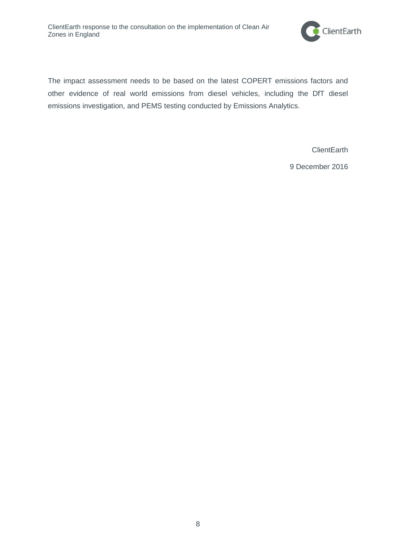

The impact assessment needs to be based on the latest COPERT emissions factors and other evidence of real world emissions from diesel vehicles, including the DfT diesel emissions investigation, and PEMS testing conducted by Emissions Analytics.

**ClientEarth** 

9 December 2016